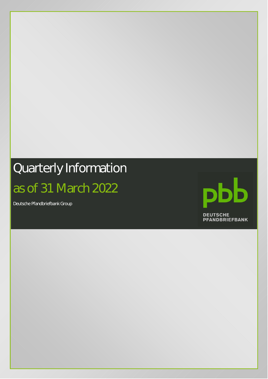# Quarterly Information as of 31 March 2022

Deutsche Pfandbriefbank Group

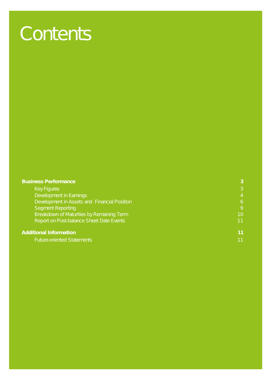# **Contents**

| <b>Business Performance</b>                  | 3              |
|----------------------------------------------|----------------|
| <b>Key Figures</b>                           | 3              |
| <b>Development in Earnings</b>               | $\overline{4}$ |
| Development in Assets and Financial Position | 6              |
| <b>Segment Reporting</b>                     | 9              |
| Breakdown of Maturities by Remaining Term    | 10             |
| Report on Post-balance Sheet Date Events     | 11             |
| <b>Additional Information</b>                | 11             |
| <b>Future-oriented Statements</b>            | ี 11           |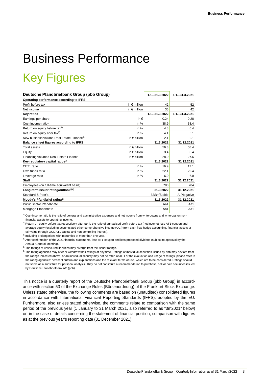# Business Performance

### Key Figures

| Deutsche Pfandbriefbank Group (pbb Group)             |                       | $1.1 - 31.3.2022$ | $1.1 - 31.3.2021$ |
|-------------------------------------------------------|-----------------------|-------------------|-------------------|
| Operating performance according to IFRS               |                       |                   |                   |
| Profit before tax                                     | in $\epsilon$ million | 42                | 52                |
| Net income                                            | in $\epsilon$ million | 36                | 42                |
| <b>Key ratios</b>                                     |                       | $1.1 - 31.3.2022$ | $1.1 - 31.3.2021$ |
| Earnings per share                                    | in $\epsilon$         | 0.24              | 0.28              |
| Cost-income ratio <sup>1)</sup>                       | in $%$                | 38.9              | 38.4              |
| Return on equity before tax <sup>2)</sup>             | in $%$                | 4.8               | 6.4               |
| Return on equity after tax <sup>2)</sup>              | in $%$                | 4.1               | 5.1               |
| New business volume Real Estate Finance <sup>3)</sup> | in $\epsilon$ billion | 2.1               | 2.1               |
| Balance sheet figures according to IFRS               |                       | 31.3.2022         | 31.12.2021        |
| <b>Total assets</b>                                   | in $\epsilon$ billion | 56.3              | 58.4              |
| Equity                                                | in $\epsilon$ billion | 3.4               | 3.4               |
| Financing volumes Real Estate Finance                 | in $\epsilon$ billion | 28.0              | 27.6              |
| Key regulatory capital ratios <sup>4)</sup>           |                       | 31.3.2022         | 31.12.2021        |
| CET1 ratio                                            | in $%$                | 16.9              | 17.1              |
| Own funds ratio                                       | in $%$                | 22.1              | 22.4              |
| Leverage ratio                                        | in $%$                | 6.0               | 6.0               |
| <b>Staff</b>                                          |                       | 31.3.2022         | 31.12.2021        |
| Employees (on full-time equivalent basis)             |                       | 780               | 784               |
| Long-term issuer rating/outlook <sup>5)6)</sup>       |                       | 31.3.2022         | 31.12.2021        |
| Standard & Poor's                                     |                       | BBB+/Stable       | A-/Negative       |
| Moody's Pfandbrief rating <sup>6)</sup>               |                       | 31.3.2022         | 31.12.2021        |
| Public sector Pfandbriefe                             |                       | Aa1               | Aa1               |
| Mortgage Pfandbriefe                                  |                       | Aa1               | Aa1               |
|                                                       |                       |                   |                   |

1) Cost-income ratio is the ratio of general and administrative expenses and net income from write-downs and write-ups on nonfinancial assets to operating income.

<sup>2)</sup> Return on equity before tax respectively after tax is the ratio of annualised profit before tax (net income) less AT1-coupon and average equity (excluding accumulated other comprehensive income (OCI) from cash flow hedge accounting, financial assets at fair value through OCI, AT1 capital and non-controlling interest).

<sup>3)</sup> Including prolongations with maturities of more than one year.

4) After confirmation of the 2021 financial statements, less AT1-coupon and less proposed dividend (subject to approval by the Annual General Meeting).

<sup>5)</sup> The ratings of unsecured liabilities may diverge from the issuer ratings.

<sup>6)</sup> The rating agencies may alter or withdraw their ratings at any time. Ratings of individual securities issued by pbb may deviate from the ratings indicated above, or an individual security may not be rated at all. For the evaluation and usage of ratings, please refer to the rating agencies' pertinent criteria and explanations and the relevant terms of use, which are to be considered. Ratings should not serve as a substitute for personal analysis. They do not constitute a recommendation to purchase, sell or hold securities issued by Deutsche Pfandbriefbank AG (pbb).

This notice is a quarterly report of the Deutsche Pfandbriefbank Group (pbb Group) in accordance with section 53 of the Exchange Rules (Börsenordnung) of the Frankfurt Stock Exchange. Unless stated otherwise, the following comments are based on (unaudited) consolidated figures in accordance with International Financial Reporting Standards (IFRS), adopted by the EU. Furthermore, also unless stated otherwise, the comments relate to comparison with the same period of the previous year (1 January to 31 March 2021, also referred to as "3m2021" below) or, in the case of details concerning the statement of financial position, comparison with figures as at the previous year's reporting date (31 December 2021).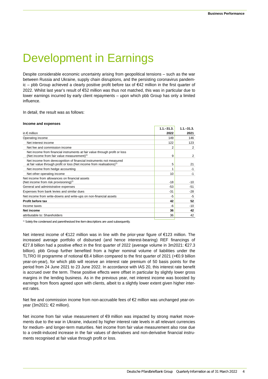### Development in Earnings

Despite considerable economic uncertainty arising from geopolitical tensions – such as the war between Russia and Ukraine, supply chain disruptions, and the persisting coronavirus pandemic – pbb Group achieved a clearly positive profit before tax of €42 million in the first quarter of 2022. Whilst last year's result of €52 million was thus not matched, this was in particular due to lower earnings incurred by early client repayments – upon which pbb Group has only a limited influence.

In detail, the result was as follows:

#### **Income and expenses**

|                                                                                                                                                          | $1.1 - 31.3.$ | $1.1 - 31.3.$ |
|----------------------------------------------------------------------------------------------------------------------------------------------------------|---------------|---------------|
| in $\epsilon$ million                                                                                                                                    | 2022          | 2021          |
| Operating income                                                                                                                                         | 149           | 146           |
| Net interest income                                                                                                                                      | 122           | 123           |
| Net fee and commission income                                                                                                                            | 2             | 2             |
| Net income from financial instruments at fair value through profit or loss<br>(Net income from fair value measurement) <sup>1)</sup>                     | 9             | 2             |
| Net income from derecognition of financial instruments not measured<br>at fair value through profit or loss (Net income from realisations) <sup>1)</sup> | 5             | 21            |
| Net income from hedge accounting                                                                                                                         |               | $-1$          |
| Net other operating income                                                                                                                               | 10            | $-1$          |
| Net income from allowances on financial assets<br>(Net income from risk provisioning) <sup>1)</sup>                                                      | $-18$         | $-10$         |
| General and administrative expenses                                                                                                                      | $-53$         | $-51$         |
| Expenses from bank levies and similar dues                                                                                                               | $-31$         | $-28$         |
| Net income from write-downs and write-ups on non-financial assets                                                                                        | -5            | -5            |
| Profit before tax                                                                                                                                        | 42            | 52            |
| Income taxes                                                                                                                                             | -6            | $-10$         |
| Net income                                                                                                                                               | 36            | 42            |
| attributable to: Shareholders                                                                                                                            | 36            | 42            |

<sup>1)</sup> Solely the condensed and parenthesised line item descriptions are used subsequently.

Net interest income of €122 million was in line with the prior-year figure of €123 million. The increased average portfolio of disbursed (and hence interest-bearing) REF financings of €27.8 billion had a positive effect in the first quarter of 2022 (average volume in 3m2021: €27.3 billion). pbb Group further benefited from a higher nominal volume of liabilities under the TLTRO III programme of notional €8.4 billion compared to the first quarter of 2021 (+€0.9 billion year-on-year), for which pbb will receive an interest rate premium of 50 basis points for the period from 24 June 2021 to 23 June 2022. In accordance with IAS 20, this interest rate benefit is accrued over the term. These positive effects were offset in particular by slightly lower gross margins in the lending business. As in the previous year, net interest income was boosted by earnings from floors agreed upon with clients, albeit to a slightly lower extent given higher interest rates.

Net fee and commission income from non-accruable fees of €2 million was unchanged year-onyear (3m2021: €2 million).

Net income from fair value measurement of €9 million was impacted by strong market movements due to the war in Ukraine, induced by higher interest rate levels in all relevant currencies for medium- and longer-term maturities. Net income from fair value measurement also rose due to a credit-induced increase in the fair values of derivatives and non-derivative financial instruments recognised at fair value through profit or loss.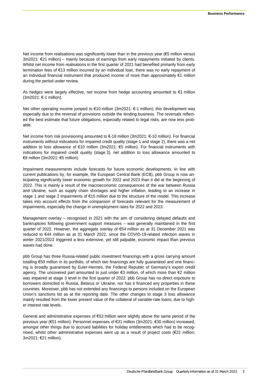Net income from realisations was significantly lower than in the previous year ( $65$  million versus 3m2021: €21 million) – mainly because of earnings from early repayments initiated by clients. Whilst net income from realisations in the first quarter of 2021 had benefited primarily from early termination fees of €13 million incurred by an individual loan, there was no early repayment of an individual financial instrument that produced income of more than approximately €1 million during the period under review.

As hedges were largely effective, net income from hedge accounting amounted to €1 million (3m2021: €-1 million).

Net other operating income jumped to €10 million (3m2021: €-1 million); this development was especially due to the reversal of provisions outside the lending business. The reversals reflected the best estimate that future obligations, especially related to legal risks, are now less probable.

Net income from risk provisioning amounted to €-18 million (3m2021: €-10 million). For financial instruments without indications for impaired credit quality (stage 1 and stage 2), there was a net addition to loss allowance of €10 million (3m2021: €5 million). For financial instruments with indications for impaired credit quality (stage 3), net addition to loss allowance amounted to €8 million (3m2021: €5 million).

Impairment measurements include forecasts for future economic developments. In line with current publications by, for example, the European Central Bank (ECB), pbb Group is now anticipating significantly lower economic growth for 2022 and 2023 than it did at the beginning of 2022. This is mainly a result of the macroeconomic consequences of the war between Russia and Ukraine, such as supply chain shortages and higher inflation, leading to an increase in stage 1 and stage 2 impairments of €15 million due to the structure of the model. This increase takes into account effects from the comparison of forecasts relevant for the measurement of impairments, especially the change in unemployment rates for 2022 and 2023.

Management overlay – recognised in 2021 with the aim of considering delayed defaults and bankruptcies following government support measures – was generally maintained in the first quarter of 2022. However, the aggregate overlay of €54 million as at 31 December 2021 was reduced to €44 million as at 31 March 2022, since the COVID-19-related infection waves in winter 2021/2022 triggered a less extensive, yet still palpable, economic impact than previous waves had done.

pbb Group has three Russia-related public investment financings with a gross carrying amount totalling €59 million in its portfolio, of which two financings are fully guaranteed and one financing is broadly guaranteed by Euler-Hermes, the Federal Republic of Germany's export credit agency. The uncovered part amounted to just under €3 million, of which more than €2 million was impaired at stage 3 level in the first quarter of 2022. pbb Group has no direct exposure to borrowers domiciled in Russia, Belarus or Ukraine, nor has it financed any properties in these countries. Moreover, pbb has not extended any financings to persons included on the European Union's sanctions list as at the reporting date. The other changes to stage 3 loss allowance mainly resulted from the lower present value of the collateral of variable-rate loans, due to higher interest rate levels.

General and administrative expenses of €53 million were slightly above the same period of the previous year (€51 million). Personnel expenses of €31 million (3m2021: €30 million) increased, amongst other things due to accrued liabilities for holiday entitlements which had to be recognised, whilst other administrative expenses went up as a result of project costs (€22 million; 3m2021: €21 million).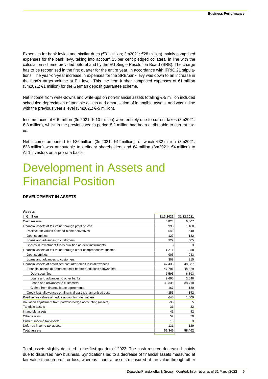Expenses for bank levies and similar dues (€31 million; 3m2021: €28 million) mainly comprised expenses for the bank levy, taking into account 15 per cent pledged collateral in line with the calculation scheme provided beforehand by the EU Single Resolution Board (SRB). The charge has to be recognised in the first quarter for the entire year, in accordance with IFRIC 21 stipulations. The year-on-year increase in expenses for the SRB/bank levy was down to an increase in the fund's target volume at EU level. This line item further comprised expenses of €1 million (3m2021: €1 million) for the German deposit guarantee scheme.

Net income from write-downs and write-ups on non-financial assets totalling €-5 million included scheduled depreciation of tangible assets and amortisation of intangible assets, and was in line with the previous year's level (3m2021: €-5 million).

Income taxes of €-6 million (3m2021: €-10 million) were entirely due to current taxes (3m2021: €-8 million), whilst in the previous year's period €-2 million had been attributable to current taxes.

Net income amounted to €36 million (3m2021: €42 million), of which €32 million (3m2021: €38 million) was attributable to ordinary shareholders and €4 million (3m2021: €4 million) to AT1 investors on a pro rata basis.

### Development in Assets and Financial Position

#### **DEVELOPMENT IN ASSETS**

#### **Assets**

| in $\epsilon$ million                                             | 31.3.2022 | 31.12.2021 |
|-------------------------------------------------------------------|-----------|------------|
| Cash reserve                                                      | 5,823     | 6,607      |
| Financial assets at fair value through profit or loss             | 998       | 1,180      |
| Positive fair values of stand-alone derivatives                   | 546       | 540        |
| Debt securities                                                   | 127       | 132        |
| Loans and advances to customers                                   | 322       | 505        |
| Shares in investment funds qualified as debt instruments          | 3         | 3          |
| Financial assets at fair value through other comprehensive income | 1.211     | 1,258      |
| Debt securities                                                   | 903       | 943        |
| Loans and advances to customers                                   | 308       | 315        |
| Financial assets at amortised cost after credit loss allowances   | 47,438    | 48,087     |
| Financial assets at amortised cost before credit loss allowances  | 47,791    | 48,429     |
| Debt securities                                                   | 6,593     | 6,893      |
| Loans and advances to other banks                                 | 2.695     | 2,646      |
| Loans and advances to customers                                   | 38,336    | 38,710     |
| Claims from finance lease agreements                              | 167       | 180        |
| Credit loss allowances on financial assets at amortised cost      | $-353$    | $-342$     |
| Positive fair values of hedge accounting derivatives              | 645       | 1,009      |
| Valuation adjustment from portfolio hedge accounting (assets)     | $-35$     | 5          |
| Tangible assets                                                   | 31        | 32         |
| Intangible assets                                                 | 41        | 42         |
| Other assets                                                      | 52        | 50         |
| Current income tax assets                                         | 10        | 3          |
| Deferred income tax assets                                        | 131       | 129        |
| <b>Total assets</b>                                               | 56,345    | 58,402     |

Total assets slightly declined in the first quarter of 2022. The cash reserve decreased mainly due to disbursed new business. Syndications led to a decrease of financial assets measured at fair value through profit or loss, whereas financial assets measured at fair value through other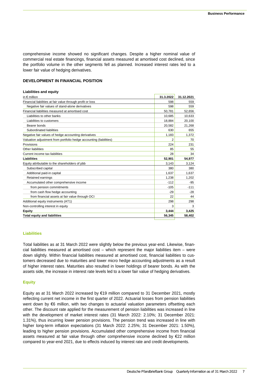comprehensive income showed no significant changes. Despite a higher nominal value of commercial real estate financings, financial assets measured at amortised cost declined, since the portfolio volume in the other segments fell as planned. Increased interest rates led to a lower fair value of hedging derivatives.

#### **DEVELOPMENT IN FINANCIAL POSITION**

| <b>Liabilities and equity</b>                                      |           |            |
|--------------------------------------------------------------------|-----------|------------|
| in $\epsilon$ million                                              | 31.3.2022 | 31.12.2021 |
| Financial liabilities at fair value through profit or loss         | 598       | 559        |
| Negative fair values of stand-alone derivatives                    | 598       | 559        |
| Financial liabilities measured at amortised cost                   | 50.781    | 52.656     |
| Liabilities to other banks                                         | 10,685    | 10,633     |
| Liabilities to customers                                           | 18,884    | 20,100     |
| Bearer bonds                                                       | 20,582    | 21,268     |
| Subordinated liabilities                                           | 630       | 655        |
| Negative fair values of hedge accounting derivatives               | 1,183     | 1,372      |
| Valuation adjustment from portfolio hedge accounting (liabilities) | 2         | 70         |
| Provisions                                                         | 224       | 231        |
| Other liabilities                                                  | 85        | 55         |
| Current income tax liabilities                                     | 28        | 34         |
| Liabilities                                                        | 52,901    | 54,977     |
| Equity attributable to the shareholders of pbb                     | 3.143     | 3.124      |
| Subscribed capital                                                 | 380       | 380        |
| Additional paid-in capital                                         | 1.637     | 1.637      |
| Retained earnings                                                  | 1.238     | 1,202      |
| Accumulated other comprehensive income                             | $-112$    | $-95$      |
| from pension commitments                                           | $-105$    | $-111$     |
| from cash flow hedge accounting                                    | $-29$     | $-28$      |
| from financial assets at fair value through OCI                    | 22        | 44         |
| Additional equity instruments (AT1)                                | 298       | 298        |
| Non-controlling interest in equity                                 | 3         | 3          |
| Equity                                                             | 3.444     | 3,425      |
| <b>Total equity and liabilities</b>                                | 56,345    | 58,402     |
|                                                                    |           |            |

#### **Liabilities**

Total liabilities as at 31 March 2022 were slightly below the previous year-end. Likewise, financial liabilities measured at amortised cost – which represent the major liabilities item – were down slightly. Within financial liabilities measured at amortised cost, financial liabilities to customers decreased due to maturities and lower micro hedge accounting adjustments as a result of higher interest rates. Maturities also resulted in lower holdings of bearer bonds. As with the assets side, the increase in interest rate levels led to a lower fair value of hedging derivatives.

#### **Equity**

Equity as at 31 March 2022 increased by €19 million compared to 31 December 2021, mostly reflecting current net income in the first quarter of 2022. Actuarial losses from pension liabilities went down by €6 million, with two changes to actuarial valuation parameters offsetting each other. The discount rate applied for the measurement of pension liabilities was increased in line with the development of market interest rates (31 March 2022: 2.10%; 31 December 2021: 1.31%), thus incurring lower pension provisions. The pension trend was increased in line with higher long-term inflation expectations (31 March 2022: 2.25%; 31 December 2021: 1.50%), leading to higher pension provisions. Accumulated other comprehensive income from financial assets measured at fair value through other comprehensive income declined by €22 million compared to year-end 2021, due to effects induced by interest rate and credit developments.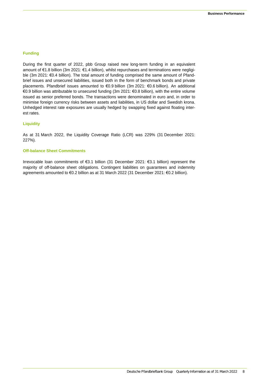#### **Funding**

During the first quarter of 2022, pbb Group raised new long-term funding in an equivalent amount of €1.8 billion (3m 2021: €1.4 billion), whilst repurchases and terminations were negligible (3m 2021: €0.4 billion). The total amount of funding comprised the same amount of Pfandbrief issues and unsecured liabilities, issued both in the form of benchmark bonds and private placements. Pfandbrief issues amounted to €0.9 billion (3m 2021: €0.6 billion). An additional €0.9 billion was attributable to unsecured funding (3m 2021: €0.8 billion), with the entire volume issued as senior preferred bonds. The transactions were denominated in euro and, in order to minimise foreign currency risks between assets and liabilities, in US dollar and Swedish krona. Unhedged interest rate exposures are usually hedged by swapping fixed against floating interest rates.

#### **Liquidity**

As at 31 March 2022, the Liquidity Coverage Ratio (LCR) was 229% (31 December 2021: 227%).

#### **Off-balance Sheet Commitments**

Irrevocable loan commitments of €3.1 billion (31 December 2021: €3.1 billion) represent the majority of off-balance sheet obligations. Contingent liabilities on guarantees and indemnity agreements amounted to €0.2 billion as at 31 March 2022 (31 December 2021: €0.2 billion).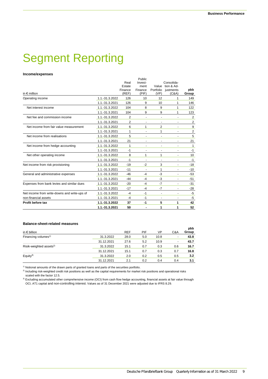### Segment Reporting

#### **Income/expenses**

| in $\epsilon$ million                        |                | Real<br>Estate<br>Finance<br>(REF) | Public<br>Invest-<br>ment<br>Finance<br>(PIF) | Value<br>Portfolio<br>(VP)   | Consolida-<br>tion & Ad-<br>justments<br>(C&A) | pbb<br>Group |
|----------------------------------------------|----------------|------------------------------------|-----------------------------------------------|------------------------------|------------------------------------------------|--------------|
| Operating income                             | 1.1.-31.3.2022 | 126                                | 10                                            | 12                           | 1                                              | 149          |
|                                              | 1.1.-31.3.2021 | 126                                | 9                                             | 10                           | 1                                              | 146          |
| Net interest income                          | 1.1.-31.3.2022 | 104                                | 8                                             | 9                            | 1                                              | 122          |
|                                              | 1.1.-31.3.2021 | 104                                | 9                                             | 9                            | 1                                              | 123          |
| Net fee and commission income                | 1.1.-31.3.2022 | 2                                  | ۰                                             | $\blacksquare$               |                                                | 2            |
|                                              | 1.1.-31.3.2021 | 2                                  |                                               |                              |                                                | 2            |
| Net income from fair value measurement       | 1.1.-31.3.2022 | 6                                  | 1                                             | 2                            | $\overline{\phantom{a}}$                       | 9            |
|                                              | 1.1.-31.3.2021 | 1                                  | ٠                                             | 1                            |                                                | 2            |
| Net income from realisations                 | 1.1.-31.3.2022 | 5                                  |                                               | ÷,                           |                                                | 5            |
|                                              | 1.1.-31.3.2021 | 21                                 | $\qquad \qquad \blacksquare$                  | $\qquad \qquad \blacksquare$ | $\blacksquare$                                 | 21           |
| Net income from hedge accounting             | 1.1.-31.3.2022 | 1                                  | ٠                                             | $\overline{\phantom{a}}$     | ٠                                              | 1            |
|                                              | 1.1.-31.3.2021 | -1                                 |                                               | ÷                            | ٠                                              | $-1$         |
| Net other operating income                   | 1.1.-31.3.2022 | 8                                  | 1                                             | 1                            |                                                | 10           |
|                                              | 1.1.-31.3.2021 | $-1$                               | $\overline{\phantom{a}}$                      | ٠                            | ٠                                              | $-1$         |
| Net income from risk provisioning            | 1.1.-31.3.2022 | $-19$                              | $-2$                                          | 3                            | $\blacksquare$                                 | $-18$        |
|                                              | 1.1.-31.3.2021 | $-11$                              | $\overline{\phantom{a}}$                      | 1                            | $\overline{\phantom{a}}$                       | $-10$        |
| General and administrative expenses          | 1.1.-31.3.2022 | $-46$                              | -4                                            | $-3$                         |                                                | $-53$        |
|                                              | 1.1.-31.3.2021 | $-44$                              | -4                                            | -3                           | ٠                                              | $-51$        |
| Expenses from bank levies and similar dues   | 1.1.-31.3.2022 | $-20$                              | $-4$                                          | $-7$                         |                                                | $-31$        |
|                                              | 1.1.-31.3.2021 | $-17$                              | $-4$                                          | $-7$                         | $\blacksquare$                                 | $-28$        |
| Net income from write-downs and write-ups of | 1.1.-31.3.2022 | $-4$                               | $-1$                                          | $\overline{\phantom{a}}$     | ٠                                              | $-5$         |
| non-financial assets                         | 1.1.-31.3.2021 | $-4$                               | $-1$                                          | ÷                            |                                                | -5           |
| Profit before tax                            | 1.1.-31.3.2022 | 37                                 | $-1$                                          | 5                            | 1                                              | 42           |
|                                              | 1.1.-31.3.2021 | 50                                 | ÷                                             | 1                            | 1                                              | 52           |

#### **Balance-sheet-related measures**

| in $\epsilon$ billion               |            | <b>REF</b> | PIF | VP   | C&A    | pbb<br>Group |
|-------------------------------------|------------|------------|-----|------|--------|--------------|
| Financing volumes <sup>1)</sup>     | 31.3.2022  | 28.0       | 5.0 | 10.8 | $\sim$ | 43.8         |
|                                     | 31.12.2021 | 27.6       | 5.2 | 10.9 | $\sim$ | 43.7         |
| Risik-weighted assets <sup>2)</sup> | 31.3.2022  | 15.1       | 0.7 | 0.3  | 0.6    | 16.7         |
|                                     | 31.12.2021 | 15.1       | 0.7 | 0.3  | 0.7    | 16.8         |
| Equity <sup>3)</sup>                | 31.3.2022  | 2.0        | 0.2 | 0.5  | 0.5    | 3.2          |
|                                     | 31.12.2021 | 2.1        | 0.2 | 0.4  | 0.4    | 3.1          |

<sup>1)</sup> Notional amounts of the drawn parts of granted loans and parts of the securities portfolio.

<sup>2)</sup> Including risk-weighted credit risk positions as well as the capital requirements for market risk positions and operational risks scaled with the factor 12.5.

3) Excluding accumulated other comprehensive income (OCI) from cash flow hedge accounting, financial assets at fair value through OCI, AT1 capital and non-controlling interest. Values as of 31 December 2021 were adjusted due to IFRS 8.29.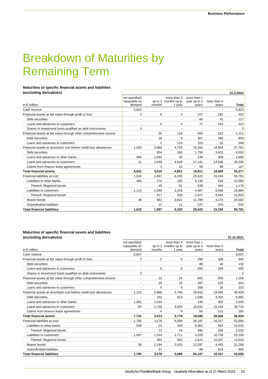### Breakdown of Maturities by Remaining Term

#### **Maturities of specific financial assets and liabilities**

| (excluding derivatives)                                           |                                |                          |                                     |                             |             | 31.3.2022 |
|-------------------------------------------------------------------|--------------------------------|--------------------------|-------------------------------------|-----------------------------|-------------|-----------|
|                                                                   | not specified/<br>repayable on |                          | more than 3<br>up to 3 months up to | more than 1<br>year up to 5 | more than 5 |           |
| in $\epsilon$ million                                             | demand                         | months                   | 1 year                              | vears                       | years       | Total     |
| Cash reserve                                                      | 5,823                          |                          |                                     |                             |             | 5,823     |
| Financial assets at fair value through profit or loss             | 3                              | 6                        | 4                                   | 157                         | 282         | 452       |
| Debt securities                                                   | $\sim$                         | $\blacksquare$           | ٠                                   | 86                          | 41          | 127       |
| Loans and advances to customers                                   | ۰                              | 6                        | 4                                   | 71                          | 241         | 322       |
| Shares in investment funds qualified as debt instruments          | 3                              | $\overline{\phantom{a}}$ | ٠                                   | $\overline{\phantom{a}}$    |             | 3         |
| Financial assets at fair value through other comprehensive income |                                | 20                       | 118                                 | 550                         | 523         | 1,211     |
| Debt securities                                                   |                                | 18                       | 8                                   | 387                         | 490         | 903       |
| Loans and advances to customers                                   |                                | 2                        | 110                                 | 163                         | 33          | 308       |
| Financial assets at amortised cost before credit loss allowances  | 1,005                          | 3,989                    | 4,729                               | 19,204                      | 18,864      | 47,791    |
| Debt securities                                                   |                                | 854                      | 160                                 | 1,758                       | 3,821       | 6,593     |
| Loans and advances to other banks                                 | 994                            | 1.093                    | 50                                  | 249                         | 309         | 2,695     |
| Loans and advances to customers                                   | 11                             | 2,039                    | 4,509                               | 17,141                      | 14,636      | 38,336    |
| Claims from finance lease agreements                              |                                | 3                        | 10                                  | 56                          | 98          | 167       |
| <b>Total financial assets</b>                                     | 6,831                          | 4,015                    | 4,851                               | 19,911                      | 19,669      | 55,277    |
| Financial liabilities at cost                                     | 1.632                          | 1.997                    | 6,335                               | 25,623                      | 15,194      | 50,781    |
| Liabilities to other banks                                        | 480                            | 274                      | 185                                 | 9,130                       | 616         | 10,685    |
| Thereof: Registred bonds                                          |                                | 46                       | 51                                  | 638                         | 444         | 1,179     |
| Liabilities to customers                                          | 1,114                          | 1.049                    | 2,318                               | 4,467                       | 9,936       | 18,884    |
| Thereof: Registred bonds                                          |                                | 417                      | 339                                 | 2.527                       | 9,542       | 12,825    |
| Bearer bonds                                                      | 38                             | 662                      | 3,821                               | 11.789                      | 4,272       | 20,582    |
| Subordinated liabilities                                          |                                | 12                       | 11                                  | 237                         | 370         | 630       |
| Total financial liabilities                                       | 1,632                          | 1,997                    | 6,335                               | 25,623                      | 15,194      | 50,781    |

#### **Maturities of specific financial assets and liabilities (excluding derivatives) 31.12.2021**

|                                                                   | not specified/ |        | more than 3          | more than 1  |             |        |
|-------------------------------------------------------------------|----------------|--------|----------------------|--------------|-------------|--------|
|                                                                   | repayable on   |        | up to 3 months up to | year up to 5 | more than 5 |        |
| in $\epsilon$ million                                             | demand         | months | 1 year               | years        | years       | Total  |
| Cash reserve                                                      | 6,607          |        |                      |              |             | 6.607  |
| Financial assets at fair value through profit or loss             | 3              | 5      | 6                    | 288          | 338         | 640    |
| Debt securities                                                   |                |        |                      | 88           | 44          | 132    |
| Loans and advances to customers                                   |                | 5      | 6                    | 200          | 294         | 505    |
| Shares in investment funds qualified as debt instruments          | 3              |        |                      |              |             | 3      |
| Financial assets at fair value through other comprehensive income |                | 22     | 16                   | 665          | 555         | 1,258  |
| Debt securities                                                   |                | 16     | 10                   | 397          | 520         | 943    |
| Loans and advances to customers                                   |                | 6      | 6                    | 268          | 35          | 315    |
| Financial assets at amortised cost before credit loss allowances  | 1,121          | 2,986  | 5,756                | 18,633       | 19,933      | 48,429 |
| Debt securities                                                   |                | 182    | 813                  | 1.696        | 4,202       | 6,893  |
| Loans and advances to other banks                                 | 1,061          | 1,034  |                      | 249          | 302         | 2,646  |
| Loans and advances to customers                                   | 60             | 1,766  | 4,934                | 16,632       | 15,318      | 38,710 |
| Claims from finance lease agreements                              |                | 4      | 9                    | 56           | 111         | 180    |
| <b>Total financial assets</b>                                     | 7,731          | 3,013  | 5,778                | 19,586       | 20,826      | 56,934 |
| Financial liabilities at cost                                     | 1.785          | 3,278  | 5,089                | 26,187       | 16,317      | 52,656 |
| Liabilities to other banks                                        | 649            | 23     | 345                  | 8.962        | 654         | 10,633 |
| Thereof: Registred bonds                                          |                | 12     | 79                   | 490          | 439         | 1,020  |
| Liabilities to customers                                          | 1.097          | 1.024  | 2,711                | 4,529        | 10,739      | 20,100 |
| Thereof: Registred bonds                                          |                | 383    | 502                  | 2.621        | 10.337      | 13,843 |
| Bearer bonds                                                      | 39             | 2,194  | 2,033                | 12,597       | 4.405       | 21,268 |
| Subordinated liabilities                                          |                | 37     |                      | 99           | 519         | 655    |
| <b>Total financial liabilities</b>                                | 1.785          | 3.278  | 5.089                | 26.187       | 16.317      | 52.656 |